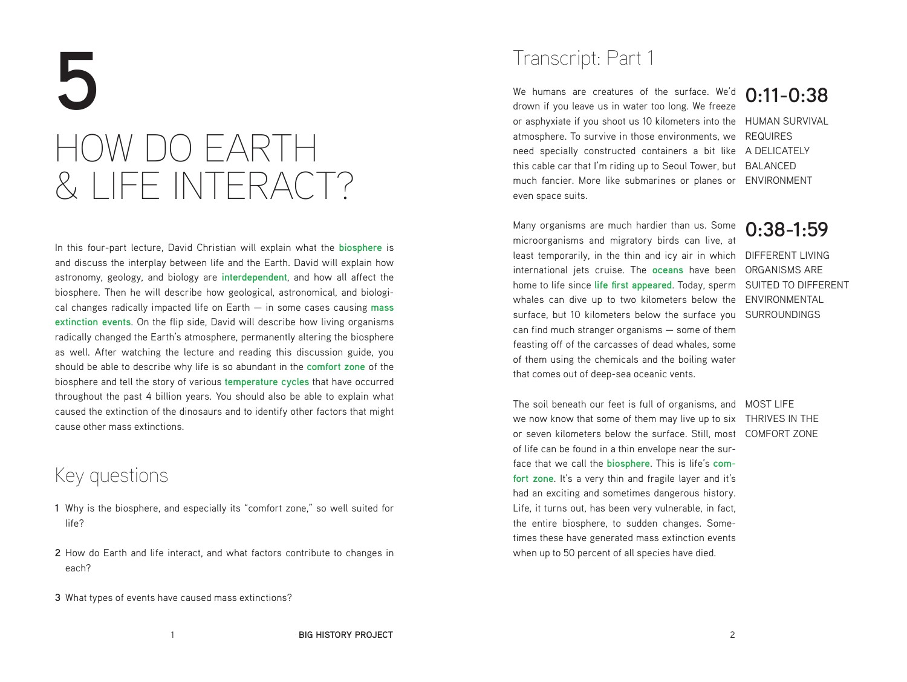# **5** HOW DO EARTH & LIFE INTERACT?

In this four-part lecture, David Christian will explain what the **biosphere** is and discuss the interplay between life and the Earth. David will explain how astronomy, geology, and biology are **interdependent**, and how all affect the biosphere. Then he will describe how geological, astronomical, and biological changes radically impacted life on Earth — in some cases causing **mass extinction events**. On the flip side, David will describe how living organisms radically changed the Earth's atmosphere, permanently altering the biosphere as well. After watching the lecture and reading this discussion guide, you should be able to describe why life is so abundant in the **comfort zone** of the biosphere and tell the story of various **temperature cycles** that have occurred throughout the past 4 billion years. You should also be able to explain what caused the extinction of the dinosaurs and to identify other factors that might cause other mass extinctions.

# Key questions

- **1** Why is the biosphere, and especially its "comfort zone," so well suited for life?
- **2** How do Earth and life interact, and what factors contribute to changes in each?
- **3** What types of events have caused mass extinctions?

# Transcript: Part 1

We humans are creatures of the surface. We'd **0:11-0:38** or asphyxiate if you shoot us 10 kilometers into the HUMAN SURVIVAL atmosphere. To survive in those environments, we REQUIRES need specially constructed containers a bit like ADELICATELY this cable car that I'm riding up to Seoul Tower, but BALANCED much fancier. More like submarines or planes or ENVIRONMENT drown if you leave us in water too long. We freeze even space suits.

least temporarily, in the thin and icy air in which DIFFERENT LIVING international jets cruise. The **oceans** have been ORGANISMS ARE home to life since lif**e first appeared.** Today, sperm  $\,$  SUITED TO DIFFERENT  $\,$ whales can dive up to two kilometers below the ENVIRONMENTAL surface, but 10 kilometers below the surface you SURROUNDINGS Many organisms are much hardier than us. Some microorganisms and migratory birds can live, at can find much stranger organisms — some of them feasting off of the carcasses of dead whales, some of them using the chemicals and the boiling water that comes out of deep-sea oceanic vents.

**0:38-1:59**

The soil beneath our feet is full of organisms, and MOST LIFE we now know that some of them may live up to six THRIVES IN THE or seven kilometers below the surface. Still, most COMFORT ZONE of life can be found in a thin envelope near the surface that we call the **biosphere**. This is life's **com**fort zone. It's a very thin and fragile layer and it's had an exciting and sometimes dangerous history. Life, it turns out, has been very vulnerable, in fact, the entire biosphere, to sudden changes. Sometimes these have generated mass extinction events when up to 50 percent of all species have died.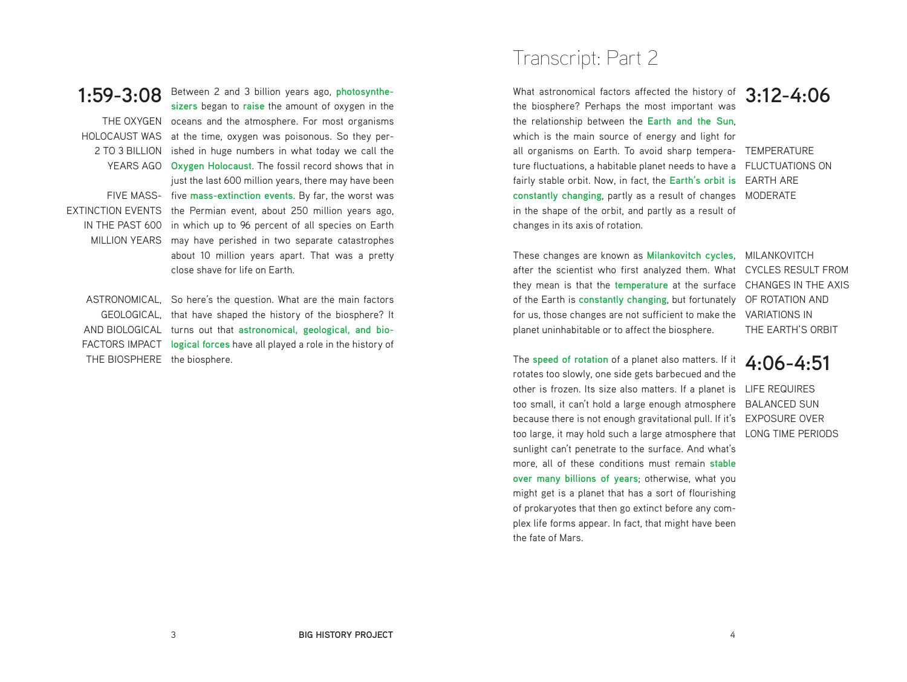### **1:59-3:08**

THE OXYGEN oceans and the atmosphere. For most organisms HOLOCAUST WAS at the time, oxygen was poisonous. So they per-2 TO 3 BILLION ished in huge numbers in what today we call the YEARS AGO **Oxygen Holocaust**. The fossil record shows that in FIVE MASS-five **mass-extinction events**. By far, the worst was EXTINCTION EVENTS the Permian event, about 250 million years ago, IN THE PAST 600 in which up to 96 percent of all species on Earth MILLION YEARS may have perished in two separate catastrophes Between 2 and 3 billion years ago, **photosynthesizers** began to **raise** the amount of oxygen in the just the last 600 million years, there may have been about 10 million years apart. That was a pretty close shave for life on Earth.

ASTRONOMICAL, So here's the question. What are the main factors GEOLOGICAL, that have shaped the history of the biosphere? It AND BIOLOGICAL turns out that **astronomical, geological, and bio-**FACTORS IMPACT **logical forces** have all played a role in the history of THE BIOSPHERE the biosphere.

# Transcript: Part 2

What astronomical factors affected the history of **3:12-4:06** all organisms on Earth. To avoid sharp tempera- TEMPERATURE ture fluctuations, a habitable planet needs to have a FLUCTUATIONS ON fairly stable orbit. Now, in fact, the **Earth's orbit is** EARTH ARE constantly changing, partly as a result of changes MODERATE the biosphere? Perhaps the most important was the relationship between the **Earth and the Sun**, which is the main source of energy and light for in the shape of the orbit, and partly as a result of changes in its axis of rotation.

These changes are known as Milankovitch cycles, MILANKOVITCH after the scientist who first analyzed them. What CYCLES RESULT FROM they mean is that the temperature at the surface CHANGES IN THE AXIS of the Earth is **constantly changing**, but fortunately OF ROTATION AND for us, those changes are not sufficient to make the VARIATIONS IN planet uninhabitable or to affect the biosphere.

THE EARTH'S ORBIT

other is frozen. Its size also matters. If a planet is LIFE REQUIRES too small, it can't hold a large enough atmosphere BALANCED SUN because there is not enough gravitational pull. If it's EXPOSURE OVER too large, it may hold such a large atmosphere that LONG TIME PERIODS The **speed of rotation** of a planet also matters. If it rotates too slowly, one side gets barbecued and the sunlight can't penetrate to the surface. And what's more, all of these conditions must remain **stable over many billions of years**; otherwise, what you might get is a planet that has a sort of flourishing of prokaryotes that then go extinct before any complex life forms appear. In fact, that might have been the fate of Mars.

### **4:06-4:51**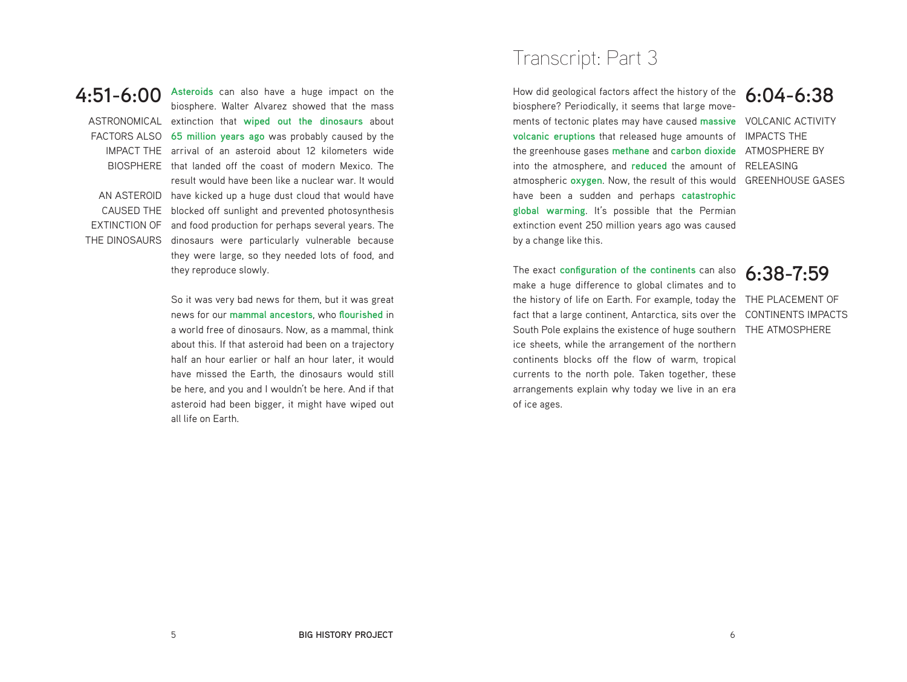**4:51-6:00 Asteroids** can also have a huge impact on the ASTRONOMICAL extinction that **wiped out the dinosaurs** about FACTORS ALSO **65 million years ago** was probably caused by the IMPACT THE arrival of an asteroid about 12 kilometers wide BIOSPHERE that landed off the coast of modern Mexico. The AN ASTEROID have kicked up a huge dust cloud that would have CAUSED THE blocked off sunlight and prevented photosynthesis EXTINCTION OF and food production for perhaps several years. The THE DINOSAURS dinosaurs were particularly vulnerable because biosphere. Walter Alvarez showed that the mass result would have been like a nuclear war. It would they were large, so they needed lots of food, and they reproduce slowly.

> So it was very bad news for them, but it was great news for our **mammal ancestors**, who **flourished** in a world free of dinosaurs. Now, as a mammal, think about this. If that asteroid had been on a trajectory half an hour earlier or half an hour later, it would have missed the Earth, the dinosaurs would still be here, and you and I wouldn't be here. And if that asteroid had been bigger, it might have wiped out all life on Earth.

# Transcript: Part 3

How did geological factors affect the history of the **6:04-6:38** ments of tectonic plates may have caused massive VOLCANIC ACTIVITY **volcanic eruptions** that released huge amounts of IMPACTS THE the greenhouse gases **methane** and **carbon dioxide** ATMOSPHERE BY into the atmosphere, and reduced the amount of RELEASING atmospheric oxygen. Now, the result of this would GREENHOUSE GASES biosphere? Periodically, it seems that large movehave been a sudden and perhaps **catastrophic global warming**. It's possible that the Permian extinction event 250 million years ago was caused by a change like this.

the history of life on Earth. For example, today the THE PLACEMENT OF fact that a large continent, Antarctica, sits over the CONTINENTS IMPACTS South Pole explains the existence of huge southern THE ATMOSPHERE The exact **configuration of the continents** can also make a huge difference to global climates and to ice sheets, while the arrangement of the northern continents blocks off the flow of warm, tropical currents to the north pole. Taken together, these arrangements explain why today we live in an era of ice ages.

**6:38-7:59**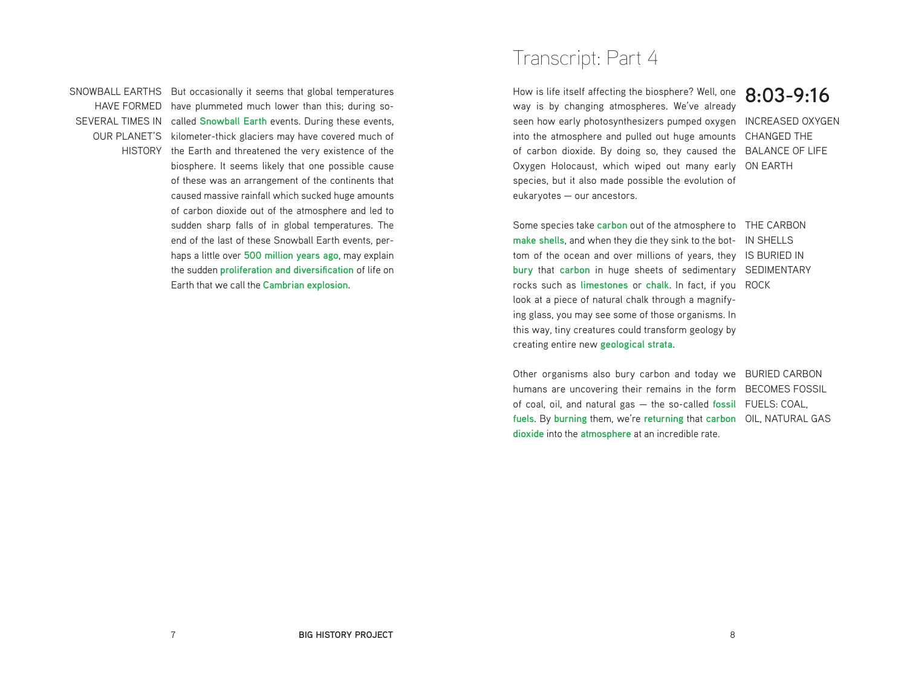SNOWBALL EARTHS But occasionally it seems that global temperatures HAVE FORMED have plummeted much lower than this; during so-SEVERAL TIMES IN called **Snowball Earth** events. During these events, OUR PLANET'S kilometer-thick glaciers may have covered much of HISTORY the Earth and threatened the very existence of the biosphere. It seems likely that one possible cause of these was an arrangement of the continents that caused massive rainfall which sucked huge amounts of carbon dioxide out of the atmosphere and led to sudden sharp falls of in global temperatures. The end of the last of these Snowball Earth events, perhaps a little over **500 million years ago**, may explain the sudden **proliferation and diversification** of life on Earth that we call the **Cambrian explosion**.

# Transcript: Part 4

How is life itself affecting the biosphere? Well, one **8:03-9:16** seen how early photosynthesizers pumped oxygen INCREASED OXYGEN into the atmosphere and pulled out huge amounts CHANGED THE of carbon dioxide. By doing so, they caused the BALANCE OF LIFE Oxygen Holocaust, which wiped out many early ON EARTH way is by changing atmospheres. We've already species, but it also made possible the evolution of eukaryotes — our ancestors.

Some species take *carbon* out of the atmosphere to THE CARBON make shells, and when they die they sink to the bot- IN SHELLS tom of the ocean and over millions of years, they IS BURIED IN **bury** that carbon in huge sheets of sedimentary SEDIMENTARY rocks such as li**mestones** or chalk. In fact, if you ROCK look at a piece of natural chalk through a magnifying glass, you may see some of those organisms. In this way, tiny creatures could transform geology by creating entire new **geological strata**.

Other organisms also bury carbon and today we BURIED CARBON humans are uncovering their remains in the form BECOMES FOSSIL of coal, oil, and natural gas — the so-called fossil FUELS: COAL, fuels. By burning them, we're returning that carbon OIL, NATURAL GAS **dioxide** into the **atmosphere** at an incredible rate.